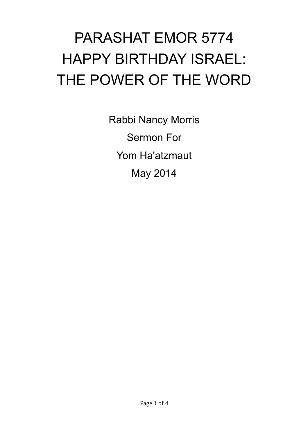## PARASHAT EMOR 5774 HAPPY BIRTHDAY ISRAEL: THE POWER OF THE WORD

Rabbi Nancy Morris Sermon For Yom Ha'atzmaut May 2014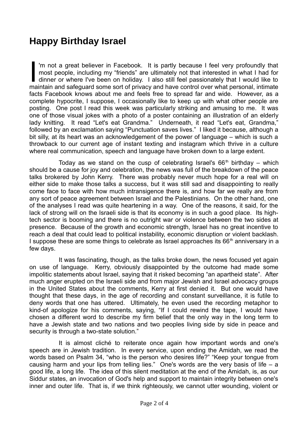## **Happy Birthday Israel**

'm not a great believer in Facebook. It is partly because I feel very profoundly that most people, including my "friends" are ultimately not that interested in what I had for dinner or where I've been on holiday. I also still feel passionately that I would like to maintain and safeguard some sort of privacy and have control over what personal, intimate facts Facebook knows about me and feels free to spread far and wide. However, as a complete hypocrite, I suppose, I occasionally like to keep up with what other people are posting. One post I read this week was particularly striking and amusing to me. It was one of those visual jokes with a photo of a poster containing an illustration of an elderly lady knitting. It read "Let's eat Grandma." Underneath, it read "Let's eat, Grandma," followed by an exclamation saying "Punctuation saves lives." I liked it because, although a bit silly, at its heart was an acknowledgement of the power of language – which is such a throwback to our current age of instant texting and instagram which thrive in a culture where real communication, speech and language have broken down to a large extent.  $\prod_{\substack{m=1\\n\neq n}}$ 

Today as we stand on the cusp of celebrating Israel's  $66<sup>th</sup>$  birthday – which should be a cause for joy and celebration, the news was full of the breakdown of the peace talks brokered by John Kerry. There was probably never much hope for a real will on either side to make those talks a success, but it was still sad and disappointing to really come face to face with how much intransigence there is, and how far we really are from any sort of peace agreement between Israel and the Palestinians. On the other hand, one of the analyses I read was quite heartening in a way. One of the reasons, it said, for the lack of strong will on the Israeli side is that its economy is in such a good place. Its hightech sector is booming and there is no outright war or violence between the two sides at presence. Because of the growth and economic strength, Israel has no great incentive to reach a deal that could lead to political instability, economic disruption or violent backlash. I suppose these are some things to celebrate as Israel approaches its  $66<sup>th</sup>$  anniversary in a few days.

It was fascinating, though, as the talks broke down, the news focused yet again on use of language. Kerry, obviously disappointed by the outcome had made some impolitic statements about Israel, saying that it risked becoming "an apartheid state". After much anger erupted on the Israeli side and from major Jewish and Israel advocacy groups in the United States about the comments, Kerry at first denied it. But one would have thought that these days, in the age of recording and constant surveillance, it is futile to deny words that one has uttered. Ultimately, he even used the recording metaphor to kind-of apologize for his comments, saying, "If I could rewind the tape, I would have chosen a different word to describe my firm belief that the only way in the long term to have a Jewish state and two nations and two peoples living side by side in peace and security is through a two-state solution."

It is almost cliché to reiterate once again how important words and one's speech are in Jewish tradition. In every service, upon ending the Amidah, we read the words based on Psalm 34, "who is the person who desires life?" "Keep your tongue from causing harm and your lips from telling lies." One's words are the very basis of life  $- a$ good life, a long life. The idea of this silent meditation at the end of the Amidah, is, as our Siddur states, an invocation of God's help and support to maintain integrity between one's inner and outer life. That is, if we think righteously, we cannot utter wounding, violent or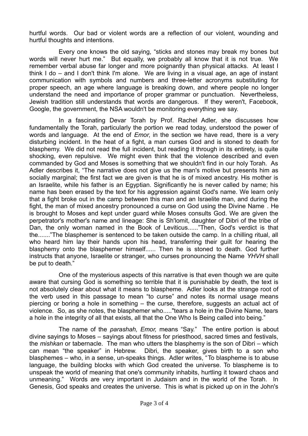hurtful words. Our bad or violent words are a reflection of our violent, wounding and hurtful thoughts and intentions.

Every one knows the old saying, "sticks and stones may break my bones but words will never hurt me." But equally, we probably all know that it is not true. We remember verbal abuse far longer and more poignantly than physical attacks. At least I think I do – and I don't think I'm alone. We are living in a visual age, an age of instant communication with symbols and numbers and three-letter acronyms substituting for proper speech, an age where language is breaking down, and where people no longer understand the need and importance of proper grammar or punctuation. Nevertheless, Jewish tradition still understands that words are dangerous. If they weren't, Facebook, Google, the government, the NSA wouldn't be monitoring everything we say.

In a fascinating Devar Torah by Prof. Rachel Adler, she discusses how fundamentally the Torah, particularly the portion we read today, understood the power of words and language. At the end of *Emor*, in the section we have read, there is a very disturbing incident. In the heat of a fight, a man curses God and is stoned to death for blasphemy. We did not read the full incident, but reading it through in its entirety, is quite shocking, even repulsive. We might even think that the violence described and even commanded by God and Moses is something that we shouldn't find in our holy Torah. As Adler describes it, "The narrative does not give us the man's motive but presents him as socially marginal; the first fact we are given is that he is of mixed ancestry. His mother is an Israelite, while his father is an Egyptian. Significantly he is never called by name; his name has been erased by the text for his aggression against God's name. We learn only that a fight broke out in the camp between this man and an Israelite man, and during the fight, the man of mixed ancestry pronounced a curse on God using the Divine Name *.* He is brought to Moses and kept under guard while Moses consults God. We are given the perpetrator's mother's name and lineage: She is Sh'lomit, daughter of Dibri of the tribe of Dan, the only woman named in the Book of Leviticus......"Then, God's verdict is that the......."The blasphemer is sentenced to be taken outside the camp. In a chilling ritual, all who heard him lay their hands upon his head, transferring their guilt for hearing the blasphemy onto the blasphemer himself...... Then he is stoned to death. God further instructs that anyone, Israelite or stranger, who curses pronouncing the Name *YHVH* shall be put to death."

One of the mysterious aspects of this narrative is that even though we are quite aware that cursing God is something so terrible that it is punishable by death, the text is not absolutely clear about what it means to blaspheme. Adler looks at the strange root of the verb used in this passage to mean "to curse" and notes its normal usage means piercing or boring a hole in something – the curse, therefore, suggests an actual act of violence. So, as she notes, the blasphemer who....."tears a hole in the Divine Name, tears a hole in the integrity of all that exists, all that the One Who Is Being called into being."

The name of the *parashah, Emor,* means "Say." The entire portion is about divine sayings to Moses – sayings about fitness for priesthood, sacred times and festivals, the *mishkan* or tabernacle. The man who utters the blasphemy is the son of Dibri – which can mean "the speaker" in Hebrew. Dibri, the speaker, gives birth to a son who blasphemes – who, in a sense, un-speaks things. Adler writes, "To blaspheme is to abuse language, the building blocks with which God created the universe. To blaspheme is to unspeak the world of meaning that one's community inhabits, hurtling it toward chaos and unmeaning." Words are very important in Judaism and in the world of the Torah. In Genesis, God speaks and creates the universe. This is what is picked up on in the John's